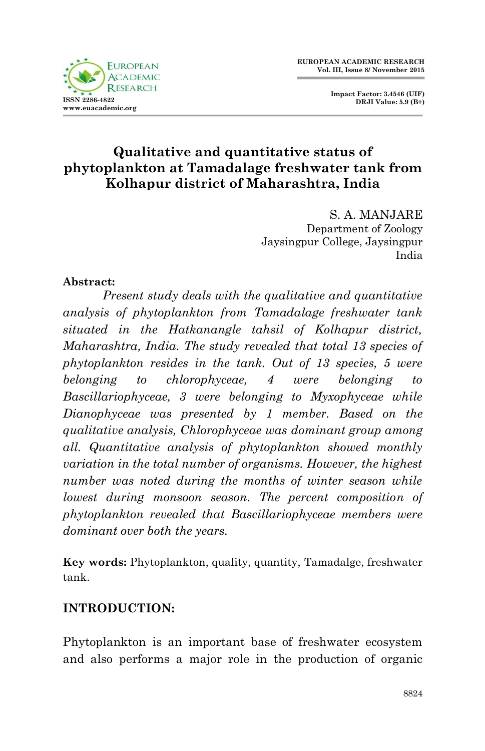



S. A. MANJARE Department of Zoology Jaysingpur College, Jaysingpur India

### **Abstract:**

*Present study deals with the qualitative and quantitative analysis of phytoplankton from Tamadalage freshwater tank situated in the Hatkanangle tahsil of Kolhapur district, Maharashtra, India. The study revealed that total 13 species of phytoplankton resides in the tank. Out of 13 species, 5 were belonging to chlorophyceae, 4 were belonging to Bascillariophyceae, 3 were belonging to Myxophyceae while Dianophyceae was presented by 1 member. Based on the qualitative analysis, Chlorophyceae was dominant group among all. Quantitative analysis of phytoplankton showed monthly variation in the total number of organisms. However, the highest number was noted during the months of winter season while lowest during monsoon season. The percent composition of phytoplankton revealed that Bascillariophyceae members were dominant over both the years.*

**Key words:** Phytoplankton, quality, quantity, Tamadalge, freshwater tank.

# **INTRODUCTION:**

Phytoplankton is an important base of freshwater ecosystem and also performs a major role in the production of organic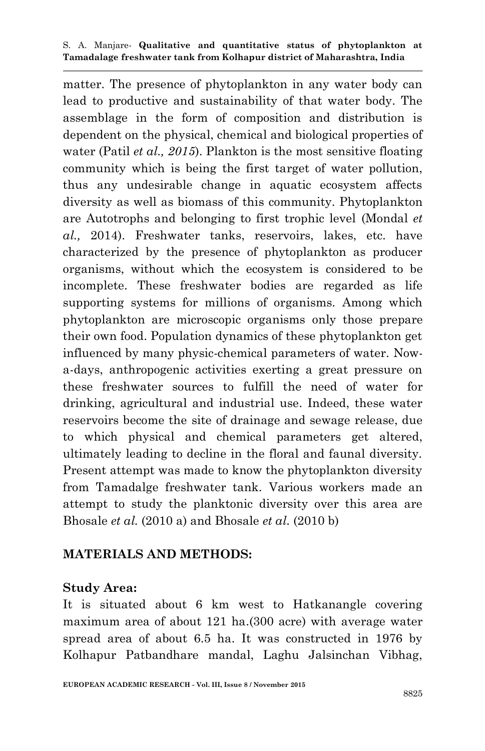matter. The presence of phytoplankton in any water body can lead to productive and sustainability of that water body. The assemblage in the form of composition and distribution is dependent on the physical, chemical and biological properties of water (Patil *et al., 2015*). Plankton is the most sensitive floating community which is being the first target of water pollution, thus any undesirable change in aquatic ecosystem affects diversity as well as biomass of this community. Phytoplankton are Autotrophs and belonging to first trophic level (Mondal *et al.,* 2014). Freshwater tanks, reservoirs, lakes, etc. have characterized by the presence of phytoplankton as producer organisms, without which the ecosystem is considered to be incomplete. These freshwater bodies are regarded as life supporting systems for millions of organisms. Among which phytoplankton are microscopic organisms only those prepare their own food. Population dynamics of these phytoplankton get influenced by many physic-chemical parameters of water. Nowa-days, anthropogenic activities exerting a great pressure on these freshwater sources to fulfill the need of water for drinking, agricultural and industrial use. Indeed, these water reservoirs become the site of drainage and sewage release, due to which physical and chemical parameters get altered, ultimately leading to decline in the floral and faunal diversity. Present attempt was made to know the phytoplankton diversity from Tamadalge freshwater tank. Various workers made an attempt to study the planktonic diversity over this area are Bhosale *et al.* (2010 a) and Bhosale *et al.* (2010 b)

### **MATERIALS AND METHODS:**

#### **Study Area:**

It is situated about 6 km west to Hatkanangle covering maximum area of about 121 ha.(300 acre) with average water spread area of about 6.5 ha. It was constructed in 1976 by Kolhapur Patbandhare mandal, Laghu Jalsinchan Vibhag,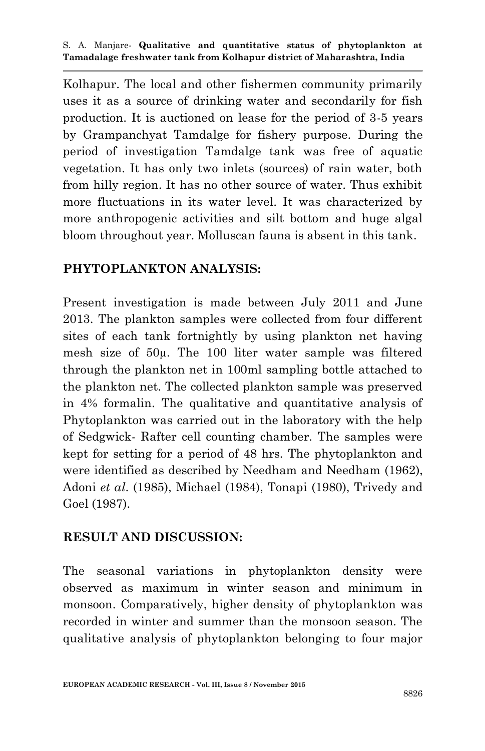Kolhapur. The local and other fishermen community primarily uses it as a source of drinking water and secondarily for fish production. It is auctioned on lease for the period of 3-5 years by Grampanchyat Tamdalge for fishery purpose. During the period of investigation Tamdalge tank was free of aquatic vegetation. It has only two inlets (sources) of rain water, both from hilly region. It has no other source of water. Thus exhibit more fluctuations in its water level. It was characterized by more anthropogenic activities and silt bottom and huge algal bloom throughout year. Molluscan fauna is absent in this tank.

### **PHYTOPLANKTON ANALYSIS:**

Present investigation is made between July 2011 and June 2013. The plankton samples were collected from four different sites of each tank fortnightly by using plankton net having mesh size of 50µ. The 100 liter water sample was filtered through the plankton net in 100ml sampling bottle attached to the plankton net. The collected plankton sample was preserved in 4% formalin. The qualitative and quantitative analysis of Phytoplankton was carried out in the laboratory with the help of Sedgwick- Rafter cell counting chamber. The samples were kept for setting for a period of 48 hrs. The phytoplankton and were identified as described by Needham and Needham (1962), Adoni *et al*. (1985), Michael (1984), Tonapi (1980), Trivedy and Goel (1987).

# **RESULT AND DISCUSSION:**

The seasonal variations in phytoplankton density were observed as maximum in winter season and minimum in monsoon. Comparatively, higher density of phytoplankton was recorded in winter and summer than the monsoon season. The qualitative analysis of phytoplankton belonging to four major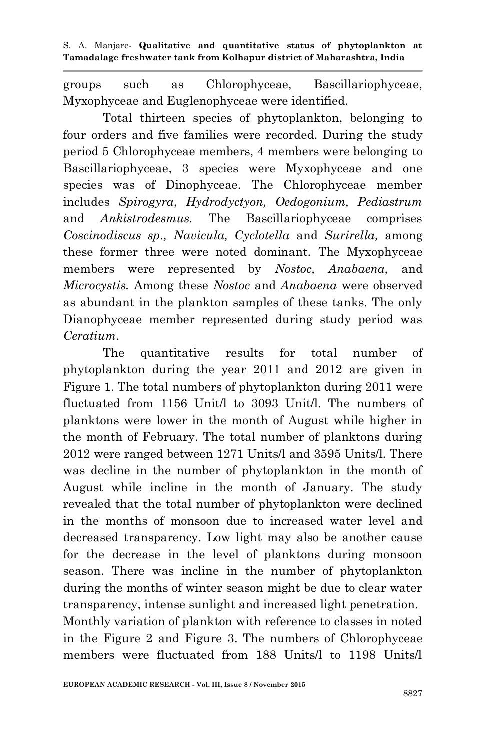groups such as Chlorophyceae, Bascillariophyceae, Myxophyceae and Euglenophyceae were identified.

Total thirteen species of phytoplankton, belonging to four orders and five families were recorded. During the study period 5 Chlorophyceae members, 4 members were belonging to Bascillariophyceae, 3 species were Myxophyceae and one species was of Dinophyceae. The Chlorophyceae member includes *Spirogyra*, *Hydrodyctyon, Oedogonium, Pediastrum*  and *Ankistrodesmus.* The Bascillariophyceae comprises *Coscinodiscus sp., Navicula, Cyclotella* and *Surirella,* among these former three were noted dominant. The Myxophyceae members were represented by *Nostoc, Anabaena,* and *Microcystis.* Among these *Nostoc* and *Anabaena* were observed as abundant in the plankton samples of these tanks. The only Dianophyceae member represented during study period was *Ceratium*.

The quantitative results for total number of phytoplankton during the year 2011 and 2012 are given in Figure 1. The total numbers of phytoplankton during 2011 were fluctuated from 1156 Unit/l to 3093 Unit/l. The numbers of planktons were lower in the month of August while higher in the month of February. The total number of planktons during 2012 were ranged between 1271 Units/l and 3595 Units/l. There was decline in the number of phytoplankton in the month of August while incline in the month of January. The study revealed that the total number of phytoplankton were declined in the months of monsoon due to increased water level and decreased transparency. Low light may also be another cause for the decrease in the level of planktons during monsoon season. There was incline in the number of phytoplankton during the months of winter season might be due to clear water transparency, intense sunlight and increased light penetration. Monthly variation of plankton with reference to classes in noted in the Figure 2 and Figure 3. The numbers of Chlorophyceae members were fluctuated from 188 Units/l to 1198 Units/l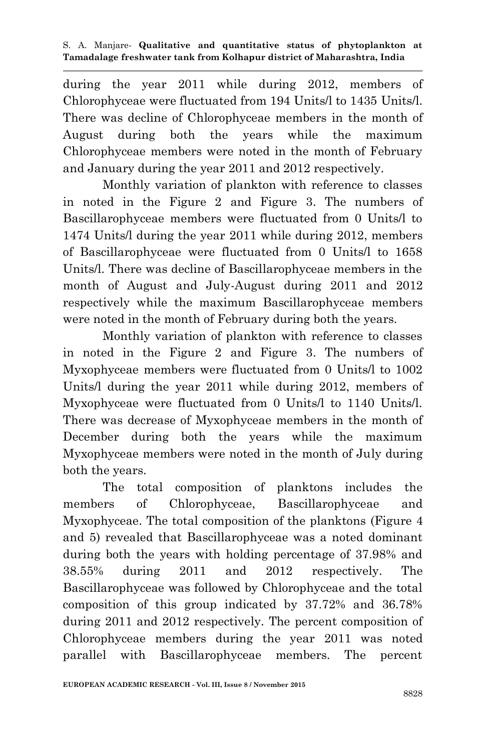during the year 2011 while during 2012, members of Chlorophyceae were fluctuated from 194 Units/l to 1435 Units/l. There was decline of Chlorophyceae members in the month of August during both the years while the maximum Chlorophyceae members were noted in the month of February and January during the year 2011 and 2012 respectively.

Monthly variation of plankton with reference to classes in noted in the Figure 2 and Figure 3. The numbers of Bascillarophyceae members were fluctuated from 0 Units/l to 1474 Units/l during the year 2011 while during 2012, members of Bascillarophyceae were fluctuated from 0 Units/l to 1658 Units/l. There was decline of Bascillarophyceae members in the month of August and July-August during 2011 and 2012 respectively while the maximum Bascillarophyceae members were noted in the month of February during both the years.

Monthly variation of plankton with reference to classes in noted in the Figure 2 and Figure 3. The numbers of Myxophyceae members were fluctuated from 0 Units/l to 1002 Units/l during the year 2011 while during 2012, members of Myxophyceae were fluctuated from 0 Units/l to 1140 Units/l. There was decrease of Myxophyceae members in the month of December during both the years while the maximum Myxophyceae members were noted in the month of July during both the years.

The total composition of planktons includes the members of Chlorophyceae, Bascillarophyceae and Myxophyceae. The total composition of the planktons (Figure 4 and 5) revealed that Bascillarophyceae was a noted dominant during both the years with holding percentage of 37.98% and 38.55% during 2011 and 2012 respectively. The Bascillarophyceae was followed by Chlorophyceae and the total composition of this group indicated by 37.72% and 36.78% during 2011 and 2012 respectively. The percent composition of Chlorophyceae members during the year 2011 was noted parallel with Bascillarophyceae members. The percent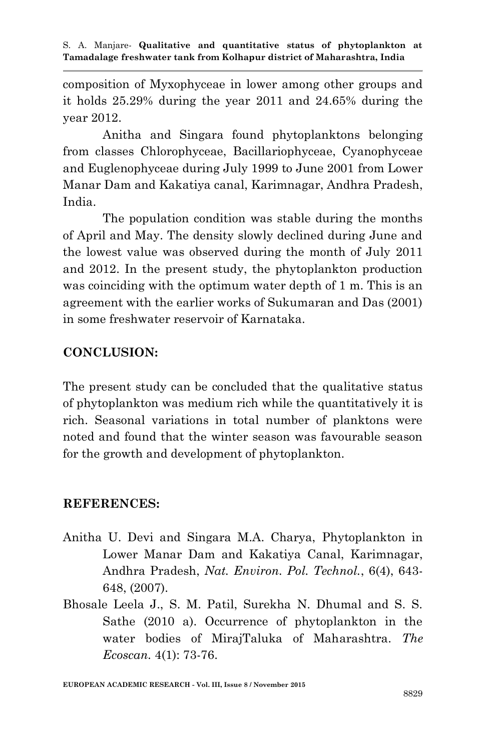composition of Myxophyceae in lower among other groups and it holds 25.29% during the year 2011 and 24.65% during the year 2012.

Anitha and Singara found phytoplanktons belonging from classes Chlorophyceae, Bacillariophyceae, Cyanophyceae and Euglenophyceae during July 1999 to June 2001 from Lower Manar Dam and Kakatiya canal, Karimnagar, Andhra Pradesh, India.

The population condition was stable during the months of April and May. The density slowly declined during June and the lowest value was observed during the month of July 2011 and 2012. In the present study, the phytoplankton production was coinciding with the optimum water depth of 1 m. This is an agreement with the earlier works of Sukumaran and Das (2001) in some freshwater reservoir of Karnataka.

# **CONCLUSION:**

The present study can be concluded that the qualitative status of phytoplankton was medium rich while the quantitatively it is rich. Seasonal variations in total number of planktons were noted and found that the winter season was favourable season for the growth and development of phytoplankton.

### **REFERENCES:**

- Anitha U. Devi and Singara M.A. Charya, Phytoplankton in Lower Manar Dam and Kakatiya Canal, Karimnagar, Andhra Pradesh, *Nat. Environ. Pol. Technol.*, 6(4), 643- 648, (2007).
- Bhosale Leela J., S. M. Patil, Surekha N. Dhumal and S. S. Sathe (2010 a). Occurrence of phytoplankton in the water bodies of MirajTaluka of Maharashtra. *The Ecoscan.* 4(1): 73-76.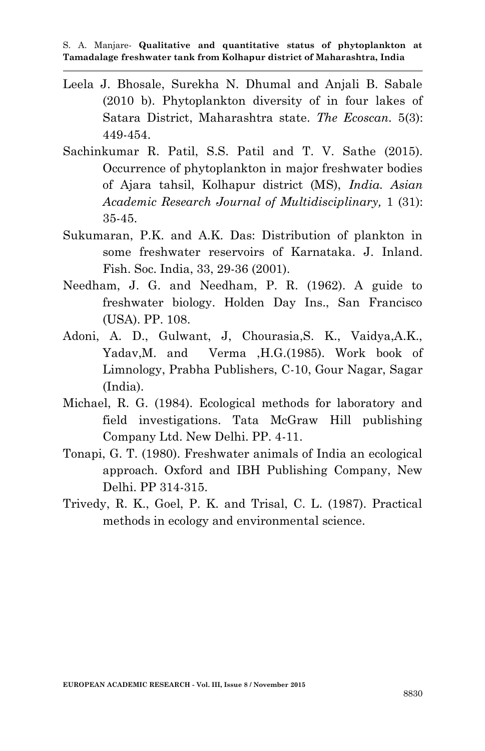- Leela J. Bhosale, Surekha N. Dhumal and Anjali B. Sabale (2010 b). Phytoplankton diversity of in four lakes of Satara District, Maharashtra state. *The Ecoscan.* 5(3): 449-454.
- Sachinkumar R. Patil, S.S. Patil and T. V. Sathe (2015). Occurrence of phytoplankton in major freshwater bodies of Ajara tahsil, Kolhapur district (MS), *India. Asian Academic Research Journal of Multidisciplinary,* 1 (31): 35-45.
- Sukumaran, P.K. and A.K. Das: Distribution of plankton in some freshwater reservoirs of Karnataka. J. Inland. Fish. Soc. India, 33, 29-36 (2001).
- Needham, J. G. and Needham, P. R. (1962). A guide to freshwater biology. Holden Day Ins., San Francisco (USA). PP. 108.
- Adoni, A. D., Gulwant, J, Chourasia,S. K., Vaidya,A.K., Yadav,M. and Verma ,H.G.(1985). Work book of Limnology, Prabha Publishers, C-10, Gour Nagar, Sagar (India).
- Michael, R. G. (1984). Ecological methods for laboratory and field investigations. Tata McGraw Hill publishing Company Ltd. New Delhi. PP. 4-11.
- Tonapi, G. T. (1980). Freshwater animals of India an ecological approach. Oxford and IBH Publishing Company, New Delhi. PP 314-315.
- Trivedy, R. K., Goel, P. K. and Trisal, C. L. (1987). Practical methods in ecology and environmental science.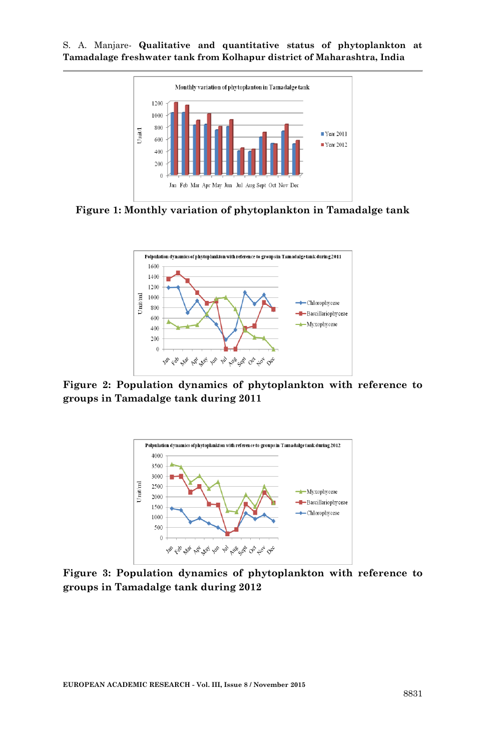



**Figure 1: Monthly variation of phytoplankton in Tamadalge tank**



**Figure 2: Population dynamics of phytoplankton with reference to groups in Tamadalge tank during 2011**



**Figure 3: Population dynamics of phytoplankton with reference to groups in Tamadalge tank during 2012**